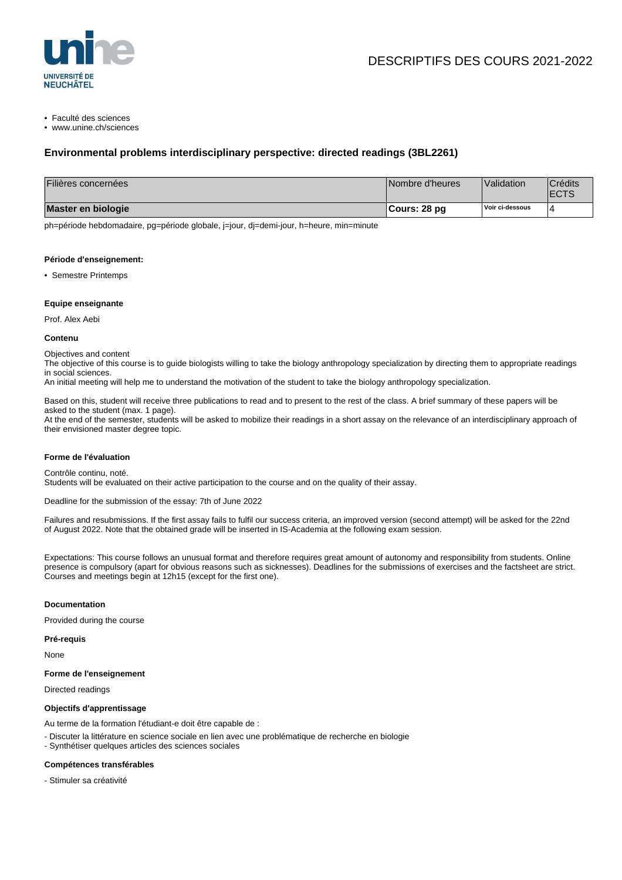

• Faculté des sciences

• www.unine.ch/sciences

# **Environmental problems interdisciplinary perspective: directed readings (3BL2261)**

| Filières concernées | Nombre d'heures | Validation      | <b>Crédits</b><br><b>IECTS</b> |
|---------------------|-----------------|-----------------|--------------------------------|
| Master en biologie  | ¶Cours: 28 pg   | Voir ci-dessous | $\Delta$                       |

ph=période hebdomadaire, pg=période globale, j=jour, dj=demi-jour, h=heure, min=minute

#### **Période d'enseignement:**

• Semestre Printemps

# **Equipe enseignante**

Prof. Alex Aebi

#### **Contenu**

Objectives and content

The objective of this course is to guide biologists willing to take the biology anthropology specialization by directing them to appropriate readings in social sciences.

An initial meeting will help me to understand the motivation of the student to take the biology anthropology specialization.

Based on this, student will receive three publications to read and to present to the rest of the class. A brief summary of these papers will be asked to the student (max. 1 page).

At the end of the semester, students will be asked to mobilize their readings in a short assay on the relevance of an interdisciplinary approach of their envisioned master degree topic.

## **Forme de l'évaluation**

Contrôle continu, noté.

Students will be evaluated on their active participation to the course and on the quality of their assay.

Deadline for the submission of the essay: 7th of June 2022

Failures and resubmissions. If the first assay fails to fulfil our success criteria, an improved version (second attempt) will be asked for the 22nd of August 2022. Note that the obtained grade will be inserted in IS-Academia at the following exam session.

Expectations: This course follows an unusual format and therefore requires great amount of autonomy and responsibility from students. Online presence is compulsory (apart for obvious reasons such as sicknesses). Deadlines for the submissions of exercises and the factsheet are strict. Courses and meetings begin at 12h15 (except for the first one).

## **Documentation**

Provided during the course

**Pré-requis**

None

## **Forme de l'enseignement**

Directed readings

## **Objectifs d'apprentissage**

Au terme de la formation l'étudiant-e doit être capable de :

- Discuter la littérature en science sociale en lien avec une problématique de recherche en biologie
- Synthétiser quelques articles des sciences sociales

#### **Compétences transférables**

- Stimuler sa créativité